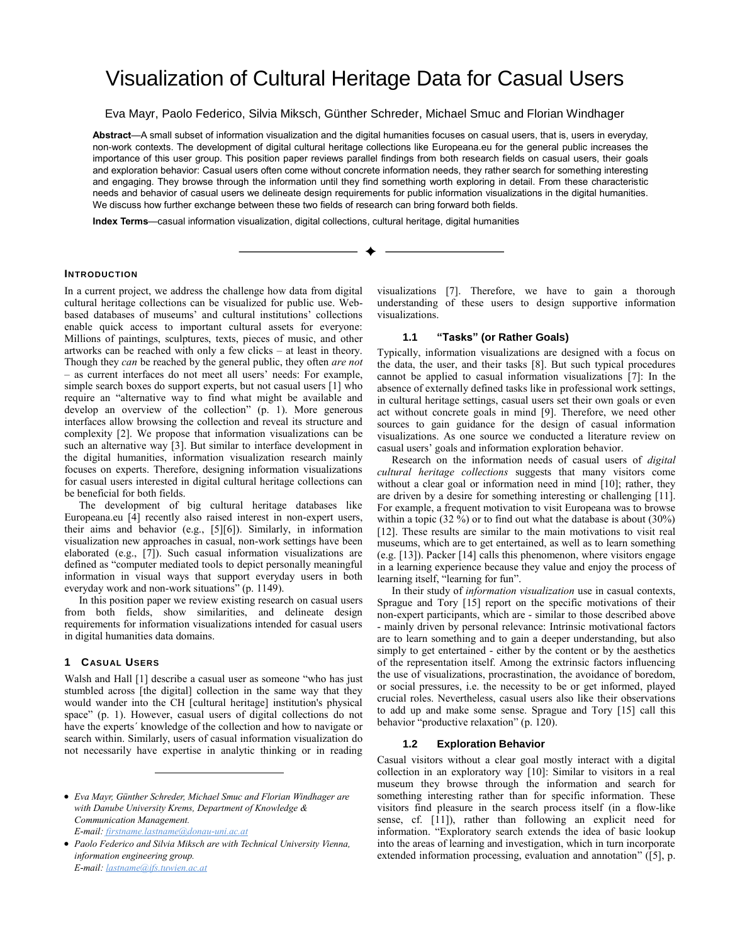# Visualization of Cultural Heritage Data for Casual Users

Eva Mayr, Paolo Federico, Silvia Miksch, Günther Schreder, Michael Smuc and Florian Windhager

**Abstract**—A small subset of information visualization and the digital humanities focuses on casual users, that is, users in everyday, non-work contexts. The development of digital cultural heritage collections like Europeana.eu for the general public increases the importance of this user group. This position paper reviews parallel findings from both research fields on casual users, their goals and exploration behavior: Casual users often come without concrete information needs, they rather search for something interesting and engaging. They browse through the information until they find something worth exploring in detail. From these characteristic needs and behavior of casual users we delineate design requirements for public information visualizations in the digital humanities. We discuss how further exchange between these two fields of research can bring forward both fields.

**Index Terms**—casual information visualization, digital collections, cultural heritage, digital humanities

## **INTRODUCTION**

In a current project, we address the challenge how data from digital cultural heritage collections can be visualized for public use. Webbased databases of museums' and cultural institutions' collections enable quick access to important cultural assets for everyone: Millions of paintings, sculptures, texts, pieces of music, and other artworks can be reached with only a few clicks – at least in theory. Though they *can* be reached by the general public, they often *are not* – as current interfaces do not meet all users' needs: For example, simple search boxes do support experts, but not casual user[s \[1\]](#page-2-0) who require an "alternative way to find what might be available and develop an overview of the collection" (p. 1). More generous interfaces allow browsing the collection and reveal its structure and complexity [\[2\].](#page-2-1) We propose that information visualizations can be such an alternative way [\[3\].](#page-2-2) But similar to interface development in the digital humanities, information visualization research mainly focuses on experts. Therefore, designing information visualizations for casual users interested in digital cultural heritage collections can be beneficial for both fields.

The development of big cultural heritage databases like Europeana.eu [\[4\]](#page-2-3) recently also raised interest in non-expert users, their aims and behavior (e.g., [\[5\]\[6\]\)](#page-2-4). Similarly, in information visualization new approaches in casual, non-work settings have been elaborated (e.g., [\[7\]\)](#page-2-5). Such casual information visualizations are defined as "computer mediated tools to depict personally meaningful information in visual ways that support everyday users in both everyday work and non-work situations" (p. 1149).

In this position paper we review existing research on casual users from both fields, show similarities, and delineate design requirements for information visualizations intended for casual users in digital humanities data domains.

#### **1 CASUAL USERS**

Walsh and Hall [\[1\]](#page-2-0) describe a casual user as someone "who has just stumbled across [the digital] collection in the same way that they would wander into the CH [cultural heritage] institution's physical space" (p. 1). However, casual users of digital collections do not have the experts´ knowledge of the collection and how to navigate or search within. Similarly, users of casual information visualization do not necessarily have expertise in analytic thinking or in reading

 *Paolo Federico and Silvia Miksch are with Technical University Vienna, information engineering group. E-mail: lastname@ifs.tuwien.ac.at*

visualizations [\[7\].](#page-2-5) Therefore, we have to gain a thorough understanding of these users to design supportive information visualizations.

#### **1.1 "Tasks" (or Rather Goals)**

Typically, information visualizations are designed with a focus on the data, the user, and their tasks [\[8\].](#page-2-6) But such typical procedures cannot be applied to casual information visualizations [\[7\]:](#page-2-5) In the absence of externally defined tasks like in professional work settings, in cultural heritage settings, casual users set their own goals or even act without concrete goals in mind [\[9\].](#page-2-7) Therefore, we need other sources to gain guidance for the design of casual information visualizations. As one source we conducted a literature review on casual users' goals and information exploration behavior.

Research on the information needs of casual users of *digital cultural heritage collections* suggests that many visitors come without a clear goal or information need in mind [\[10\];](#page-2-8) rather, they are driven by a desire for something interesting or challenging [\[11\].](#page-2-9) For example, a frequent motivation to visit Europeana was to browse within a topic (32  $\%$ ) or to find out what the database is about (30%) [\[12\].](#page-2-10) These results are similar to the main motivations to visit real museums, which are to get entertained, as well as to learn something (e.g. [\[13\]\)](#page-2-11). Packe[r \[14\]](#page-2-12) calls this phenomenon, where visitors engage in a learning experience because they value and enjoy the process of learning itself, "learning for fun".

In their study of *information visualization* use in casual contexts, Sprague and Tory [\[15\]](#page-2-13) report on the specific motivations of their non-expert participants, which are - similar to those described above - mainly driven by personal relevance: Intrinsic motivational factors are to learn something and to gain a deeper understanding, but also simply to get entertained - either by the content or by the aesthetics of the representation itself. Among the extrinsic factors influencing the use of visualizations, procrastination, the avoidance of boredom, or social pressures, i.e. the necessity to be or get informed, played crucial roles. Nevertheless, casual users also like their observations to add up and make some sense. Sprague and Tory [\[15\]](#page-2-13) call this behavior "productive relaxation" (p. 120).

## **1.2 Exploration Behavior**

Casual visitors without a clear goal mostly interact with a digital collection in an exploratory way [\[10\]:](#page-2-8) Similar to visitors in a real museum they browse through the information and search for something interesting rather than for specific information. These visitors find pleasure in the search process itself (in a flow-like sense, cf. [\[11\]\)](#page-2-9), rather than following an explicit need for information. "Exploratory search extends the idea of basic lookup into the areas of learning and investigation, which in turn incorporate extended information processing, evaluation and annotation" ([\[5\],](#page-2-4) p.

*Eva Mayr, Günther Schreder, Michael Smuc and Florian Windhager are with Danube University Krems, Department of Knowledge & Communication Management. E-mail: firstname.lastname@donau-uni.ac.at*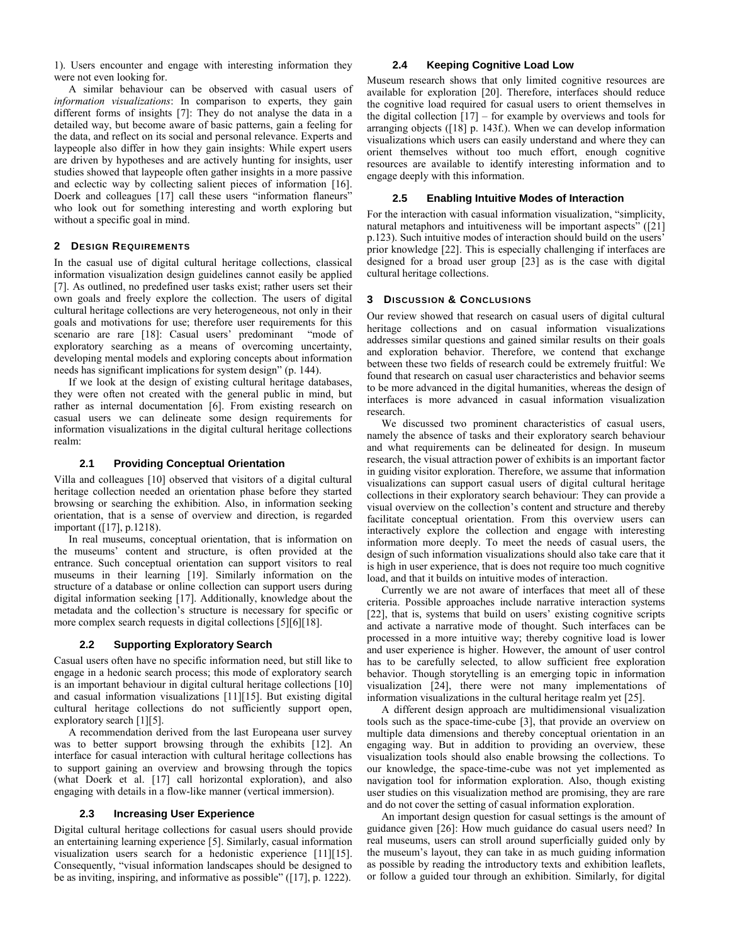1). Users encounter and engage with interesting information they were not even looking for.

A similar behaviour can be observed with casual users of *information visualizations*: In comparison to experts, they gain different forms of insights [\[7\]:](#page-2-5) They do not analyse the data in a detailed way, but become aware of basic patterns, gain a feeling for the data, and reflect on its social and personal relevance. Experts and laypeople also differ in how they gain insights: While expert users are driven by hypotheses and are actively hunting for insights, user studies showed that laypeople often gather insights in a more passive and eclectic way by collecting salient pieces of information [\[16\].](#page-2-14)  Doerk and colleagues [\[17\]](#page-2-15) call these users "information flaneurs" who look out for something interesting and worth exploring but without a specific goal in mind.

#### **2 DESIGN REQUIREMENTS**

In the casual use of digital cultural heritage collections, classical information visualization design guidelines cannot easily be applied [\[7\].](#page-2-5) As outlined, no predefined user tasks exist; rather users set their own goals and freely explore the collection. The users of digital cultural heritage collections are very heterogeneous, not only in their goals and motivations for use; therefore user requirements for this scenario are rare [\[18\]:](#page-2-16) Casual users' predominant "mode of exploratory searching as a means of overcoming uncertainty, developing mental models and exploring concepts about information needs has significant implications for system design" (p. 144).

If we look at the design of existing cultural heritage databases, they were often not created with the general public in mind, but rather as internal documentation [\[6\].](#page-2-17) From existing research on casual users we can delineate some design requirements for information visualizations in the digital cultural heritage collections realm:

#### **2.1 Providing Conceptual Orientation**

Villa and colleagues [\[10\]](#page-2-8) observed that visitors of a digital cultural heritage collection needed an orientation phase before they started browsing or searching the exhibition. Also, in information seeking orientation, that is a sense of overview and direction, is regarded important [\(\[17\],](#page-2-15) p.1218).

In real museums, conceptual orientation, that is information on the museums' content and structure, is often provided at the entrance. Such conceptual orientation can support visitors to real museums in their learning [\[19\].](#page-2-18) Similarly information on the structure of a database or online collection can support users during digital information seeking [\[17\].](#page-2-15) Additionally, knowledge about the metadata and the collection's structure is necessary for specific or more complex search requests in digital collections [\[5\]\[6\]](#page-2-4)[\[18\].](#page-2-16)

#### **2.2 Supporting Exploratory Search**

Casual users often have no specific information need, but still like to engage in a hedonic search process; this mode of exploratory search is an important behaviour in digital cultural heritage collections [\[10\]](#page-2-8) and casual information visualizations [\[11\]\[15\].](#page-2-9) But existing digital cultural heritage collections do not sufficiently support open, exploratory search [\[1\]\[5\].](#page-2-0) 

A recommendation derived from the last Europeana user survey was to better support browsing through the exhibits [\[12\].](#page-2-10) An interface for casual interaction with cultural heritage collections has to support gaining an overview and browsing through the topics (what Doerk et al. [\[17\]](#page-2-15) call horizontal exploration), and also engaging with details in a flow-like manner (vertical immersion).

#### **2.3 Increasing User Experience**

Digital cultural heritage collections for casual users should provide an entertaining learning experience [\[5\].](#page-2-4) Similarly, casual information visualization users search for a hedonistic experience [\[11\]\[15\].](#page-2-9)  Consequently, "visual information landscapes should be designed to be as inviting, inspiring, and informative as possible" ([\[17\],](#page-2-15) p. 1222).

#### **2.4 Keeping Cognitive Load Low**

Museum research shows that only limited cognitive resources are available for exploration [\[20\].](#page-2-19) Therefore, interfaces should reduce the cognitive load required for casual users to orient themselves in the digital collection  $\left[17\right]$  – for example by overviews and tools for arranging objects [\(\[18\]](#page-2-16) p. 143f.). When we can develop information visualizations which users can easily understand and where they can orient themselves without too much effort, enough cognitive resources are available to identify interesting information and to engage deeply with this information.

### **2.5 Enabling Intuitive Modes of Interaction**

For the interaction with casual information visualization, "simplicity, natural metaphors and intuitiveness will be important aspects" ([\[21\]](#page-2-20) p.123). Such intuitive modes of interaction should build on the users' prior knowledge [\[22\].](#page-2-21) This is especially challenging if interfaces are designed for a broad user group [\[23\]](#page-2-22) as is the case with digital cultural heritage collections.

## **3 DISCUSSION & CONCLUSIONS**

Our review showed that research on casual users of digital cultural heritage collections and on casual information visualizations addresses similar questions and gained similar results on their goals and exploration behavior. Therefore, we contend that exchange between these two fields of research could be extremely fruitful: We found that research on casual user characteristics and behavior seems to be more advanced in the digital humanities, whereas the design of interfaces is more advanced in casual information visualization research.

We discussed two prominent characteristics of casual users, namely the absence of tasks and their exploratory search behaviour and what requirements can be delineated for design. In museum research, the visual attraction power of exhibits is an important factor in guiding visitor exploration. Therefore, we assume that information visualizations can support casual users of digital cultural heritage collections in their exploratory search behaviour: They can provide a visual overview on the collection's content and structure and thereby facilitate conceptual orientation. From this overview users can interactively explore the collection and engage with interesting information more deeply. To meet the needs of casual users, the design of such information visualizations should also take care that it is high in user experience, that is does not require too much cognitive load, and that it builds on intuitive modes of interaction.

Currently we are not aware of interfaces that meet all of these criteria. Possible approaches include narrative interaction systems [22], that is, systems that build on users' existing cognitive scripts and activate a narrative mode of thought. Such interfaces can be processed in a more intuitive way; thereby cognitive load is lower and user experience is higher. However, the amount of user control has to be carefully selected, to allow sufficient free exploration behavior. Though storytelling is an emerging topic in information visualization [\[24\],](#page-2-23) there were not many implementations of information visualizations in the cultural heritage realm yet [\[25\].](#page-2-24)

A different design approach are multidimensional visualization tools such as the space-time-cube [\[3\],](#page-2-2) that provide an overview on multiple data dimensions and thereby conceptual orientation in an engaging way. But in addition to providing an overview, these visualization tools should also enable browsing the collections. To our knowledge, the space-time-cube was not yet implemented as navigation tool for information exploration. Also, though existing user studies on this visualization method are promising, they are rare and do not cover the setting of casual information exploration.

An important design question for casual settings is the amount of guidance given [\[26\]:](#page-2-25) How much guidance do casual users need? In real museums, users can stroll around superficially guided only by the museum's layout, they can take in as much guiding information as possible by reading the introductory texts and exhibition leaflets, or follow a guided tour through an exhibition. Similarly, for digital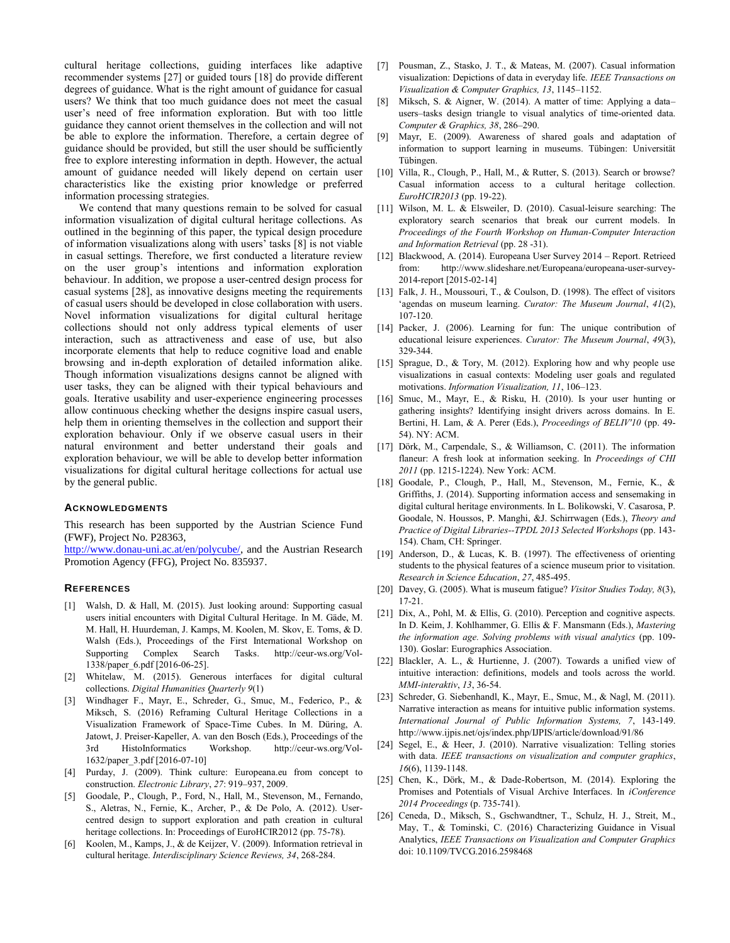cultural heritage collections, guiding interfaces like adaptive recommender systems [\[27\]](#page-3-0) or guided tours [\[18\]](#page-2-16) do provide different degrees of guidance. What is the right amount of guidance for casual users? We think that too much guidance does not meet the casual user's need of free information exploration. But with too little guidance they cannot orient themselves in the collection and will not be able to explore the information. Therefore, a certain degree of guidance should be provided, but still the user should be sufficiently free to explore interesting information in depth. However, the actual amount of guidance needed will likely depend on certain user characteristics like the existing prior knowledge or preferred information processing strategies.

We contend that many questions remain to be solved for casual information visualization of digital cultural heritage collections. As outlined in the beginning of this paper, the typical design procedure of information visualizations along with users' tasks [\[8\]](#page-2-6) is not viable in casual settings. Therefore, we first conducted a literature review on the user group's intentions and information exploration behaviour. In addition, we propose a user-centred design process for casual systems [\[28\],](#page-3-1) as innovative designs meeting the requirements of casual users should be developed in close collaboration with users. Novel information visualizations for digital cultural heritage collections should not only address typical elements of user interaction, such as attractiveness and ease of use, but also incorporate elements that help to reduce cognitive load and enable browsing and in-depth exploration of detailed information alike. Though information visualizations designs cannot be aligned with user tasks, they can be aligned with their typical behaviours and goals. Iterative usability and user-experience engineering processes allow continuous checking whether the designs inspire casual users, help them in orienting themselves in the collection and support their exploration behaviour. Only if we observe casual users in their natural environment and better understand their goals and exploration behaviour, we will be able to develop better information visualizations for digital cultural heritage collections for actual use by the general public.

### **ACKNOWLEDGMENTS**

This research has been supported by the Austrian Science Fund (FWF), Project No. P28363,

[http://www.donau-uni.ac.at/en/polycube/,](http://www.donau-uni.ac.at/en/polycube/) and the Austrian Research Promotion Agency (FFG), Project No. 835937.

## **REFERENCES**

- <span id="page-2-0"></span>[1] Walsh, D. & Hall, M. (2015). Just looking around: Supporting casual users initial encounters with Digital Cultural Heritage. In M. Gäde, M. M. Hall, H. Huurdeman, J. Kamps, M. Koolen, M. Skov, E. Toms, & D. Walsh (Eds.), Proceedings of the First International Workshop on Supporting Complex Search Tasks. http://ceur-ws.org/Vol-1338/paper\_6.pdf [2016-06-25].
- <span id="page-2-1"></span>[2] Whitelaw, M. (2015). Generous interfaces for digital cultural collections. *Digital Humanities Quarterly 9*(1)
- <span id="page-2-2"></span>Windhager F., Mayr, E., Schreder, G., Smuc, M., Federico, P., & Miksch, S. (2016) Reframing Cultural Heritage Collections in a Visualization Framework of Space-Time Cubes. In M. Düring, A. Jatowt, J. Preiser-Kapeller, A. van den Bosch (Eds.), Proceedings of the 3rd HistoInformatics Workshop. http://ceur-ws.org/Vol-1632/paper\_3.pdf [2016-07-10]
- <span id="page-2-3"></span>[4] Purday, J. (2009). Think culture: Europeana.eu from concept to construction. *Electronic Library*, *27*: 919–937, 2009.
- <span id="page-2-4"></span>[5] Goodale, P., Clough, P., Ford, N., Hall, M., Stevenson, M., Fernando, S., Aletras, N., Fernie, K., Archer, P., & De Polo, A. (2012). Usercentred design to support exploration and path creation in cultural heritage collections. In: Proceedings of EuroHCIR2012 (pp. 75-78).
- <span id="page-2-17"></span>[6] Koolen, M., Kamps, J., & de Keijzer, V. (2009). Information retrieval in cultural heritage. *Interdisciplinary Science Reviews, 34*, 268-284.
- <span id="page-2-5"></span>[7] Pousman, Z., Stasko, J. T., & Mateas, M. (2007). Casual information visualization: Depictions of data in everyday life. *IEEE Transactions on Visualization & Computer Graphics, 13*, 1145–1152.
- <span id="page-2-6"></span>[8] Miksch, S. & Aigner, W. (2014). A matter of time: Applying a data– users–tasks design triangle to visual analytics of time-oriented data. *Computer & Graphics, 38*, 286–290.
- <span id="page-2-7"></span>[9] Mayr, E. (2009). Awareness of shared goals and adaptation of information to support learning in museums. Tübingen: Universität Tübingen.
- <span id="page-2-8"></span>[10] Villa, R., Clough, P., Hall, M., & Rutter, S. (2013). Search or browse? Casual information access to a cultural heritage collection. *EuroHCIR2013* (pp. 19-22).
- <span id="page-2-9"></span>[11] Wilson, M. L. & Elsweiler, D. (2010). Casual-leisure searching: The exploratory search scenarios that break our current models. In *Proceedings of the Fourth Workshop on Human-Computer Interaction and Information Retrieval* (pp. 28 -31).
- <span id="page-2-10"></span>[12] Blackwood, A. (2014). Europeana User Survey 2014 – Report. Retrieed from: http://www.slideshare.net/Europeana/europeana-user-survey-2014-report [2015-02-14]
- <span id="page-2-11"></span>[13] Falk, J. H., Moussouri, T., & Coulson, D. (1998). The effect of visitors 'agendas on museum learning. *Curator: The Museum Journal*, *41*(2), 107-120.
- <span id="page-2-12"></span>[14] Packer, J. (2006). Learning for fun: The unique contribution of educational leisure experiences. *Curator: The Museum Journal*, *49*(3), 329-344.
- <span id="page-2-13"></span>[15] Sprague, D., & Tory, M. (2012). Exploring how and why people use visualizations in casual contexts: Modeling user goals and regulated motivations. *Information Visualization, 11*, 106–123.
- <span id="page-2-14"></span>[16] Smuc, M., Mayr, E., & Risku, H. (2010). Is your user hunting or gathering insights? Identifying insight drivers across domains. In E. Bertini, H. Lam, & A. Perer (Eds.), *Proceedings of BELIV'10* (pp. 49- 54). NY: ACM.
- <span id="page-2-15"></span>[17] Dörk, M., Carpendale, S., & Williamson, C. (2011). The information flaneur: A fresh look at information seeking. In *Proceedings of CHI 2011* (pp. 1215-1224). New York: ACM.
- <span id="page-2-16"></span>[18] Goodale, P., Clough, P., Hall, M., Stevenson, M., Fernie, K., & Griffiths, J. (2014). Supporting information access and sensemaking in digital cultural heritage environments. In L. Bolikowski, V. Casarosa, P. Goodale, N. Houssos, P. Manghi, &J. Schirrwagen (Eds.), *Theory and Practice of Digital Libraries--TPDL 2013 Selected Workshops* (pp. 143- 154). Cham, CH: Springer.
- <span id="page-2-18"></span>[19] Anderson, D., & Lucas, K. B. (1997). The effectiveness of orienting students to the physical features of a science museum prior to visitation. *Research in Science Education*, *27*, 485-495.
- <span id="page-2-19"></span>[20] Davey, G. (2005). What is museum fatigue? *Visitor Studies Today, 8*(3), 17-21.
- <span id="page-2-20"></span>[21] Dix, A., Pohl, M. & Ellis, G. (2010). Perception and cognitive aspects. In D. Keim, J. Kohlhammer, G. Ellis & F. Mansmann (Eds.), *Mastering the information age. Solving problems with visual analytics* (pp. 109- 130). Goslar: Eurographics Association.
- <span id="page-2-21"></span>[22] Blackler, A. L., & Hurtienne, J. (2007). Towards a unified view of intuitive interaction: definitions, models and tools across the world. *MMI-interaktiv*, *13*, 36-54.
- <span id="page-2-22"></span>[23] Schreder, G. Siebenhandl, K., Mayr, E., Smuc, M., & Nagl, M. (2011). Narrative interaction as means for intuitive public information systems. *International Journal of Public Information Systems, 7*, 143-149. http://www.ijpis.net/ojs/index.php/IJPIS/article/download/91/86
- <span id="page-2-23"></span>[24] Segel, E., & Heer, J. (2010). Narrative visualization: Telling stories with data. *IEEE transactions on visualization and computer graphics*, *16*(6), 1139-1148.
- <span id="page-2-24"></span>[25] Chen, K., Dörk, M., & Dade-Robertson, M. (2014). Exploring the Promises and Potentials of Visual Archive Interfaces. In *iConference 2014 Proceedings* (p. 735-741).
- <span id="page-2-25"></span>[26] Ceneda, D., Miksch, S., Gschwandtner, T., Schulz, H. J., Streit, M., May, T., & Tominski, C. (2016) Characterizing Guidance in Visual Analytics, *IEEE Transactions on Visualization and Computer Graphics* doi: 10.1109/TVCG.2016.2598468